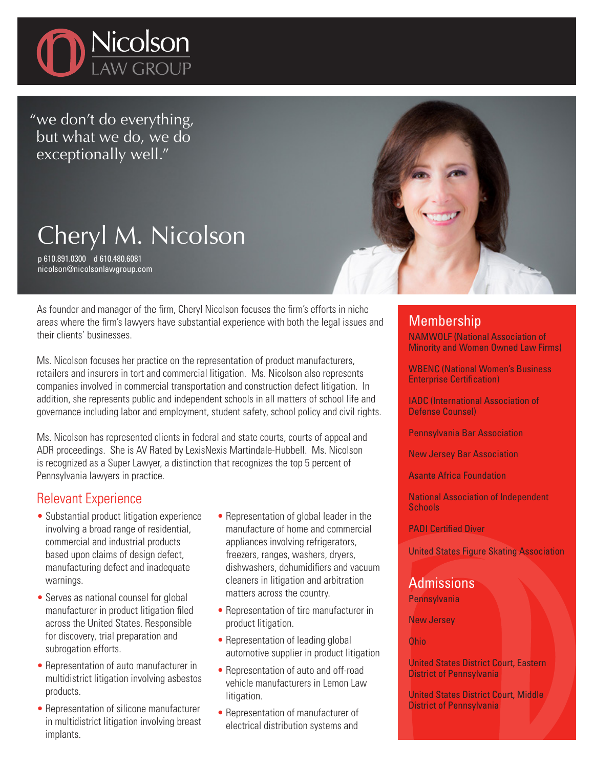

"we don't do everything, but what we do, we do exceptionally well."

# Cheryl M. Nicolson

p 610.891.0300 d 610.480.6081 nicolson@nicolsonlawgroup.com

As founder and manager of the firm, Cheryl Nicolson focuses the firm's efforts in niche areas where the firm's lawyers have substantial experience with both the legal issues and their clients' businesses.

Ms. Nicolson focuses her practice on the representation of product manufacturers, retailers and insurers in tort and commercial litigation. Ms. Nicolson also represents companies involved in commercial transportation and construction defect litigation. In addition, she represents public and independent schools in all matters of school life and governance including labor and employment, student safety, school policy and civil rights.

Ms. Nicolson has represented clients in federal and state courts, courts of appeal and ADR proceedings. She is AV Rated by LexisNexis Martindale-Hubbell. Ms. Nicolson is recognized as a Super Lawyer, a distinction that recognizes the top 5 percent of Pennsylvania lawyers in practice.

## Relevant Experience

- Substantial product litigation experience involving a broad range of residential, commercial and industrial products based upon claims of design defect, manufacturing defect and inadequate warnings.
- Serves as national counsel for global manufacturer in product litigation filed across the United States. Responsible for discovery, trial preparation and subrogation efforts.
- Representation of auto manufacturer in multidistrict litigation involving asbestos products.
- Representation of silicone manufacturer in multidistrict litigation involving breast implants.
- Representation of global leader in the manufacture of home and commercial appliances involving refrigerators, freezers, ranges, washers, dryers, dishwashers, dehumidifiers and vacuum cleaners in litigation and arbitration matters across the country.
- Representation of tire manufacturer in product litigation.
- Representation of leading global automotive supplier in product litigation
- Representation of auto and off-road vehicle manufacturers in Lemon Law litigation.
- Representation of manufacturer of electrical distribution systems and

### **Membership**

NAMWOLF (National Association of Minority and Women Owned Law Firms)

WBENC (National Women's Business Enterprise Certification)

IADC (International Association of Defense Counsel)

Pennsylvania Bar Association

New Jersey Bar Association

Asante Africa Foundation

National Association of Independent **Schools** 

PADI Certified Diver

United States Figure Skating Association

#### Admissions **Pennsylvania**

New Jersey

Ohio

United States District Court, Eastern District of Pennsylvania

United States District Court, Middle District of Pennsylvania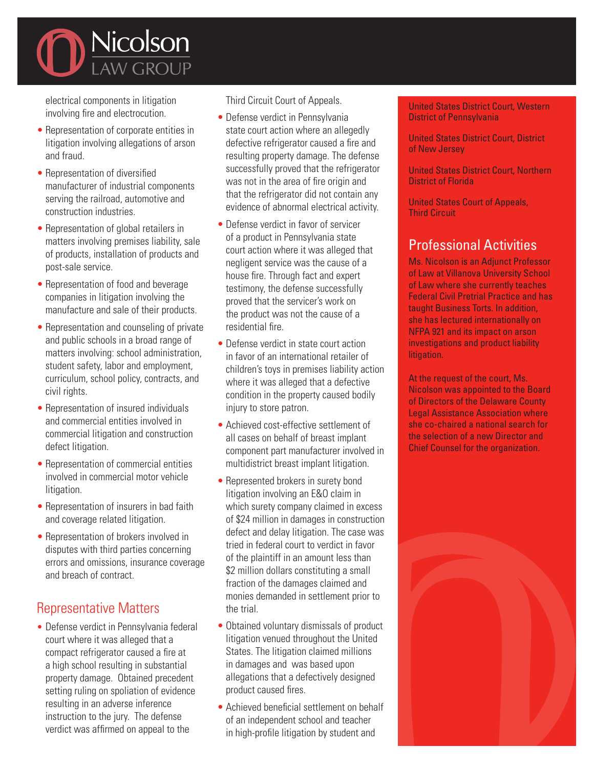

electrical components in litigation involving fire and electrocution.

- Representation of corporate entities in litigation involving allegations of arson and fraud.
- Representation of diversified manufacturer of industrial components serving the railroad, automotive and construction industries.
- Representation of global retailers in matters involving premises liability, sale of products, installation of products and post-sale service.
- Representation of food and beverage companies in litigation involving the manufacture and sale of their products.
- Representation and counseling of private and public schools in a broad range of matters involving: school administration, student safety, labor and employment, curriculum, school policy, contracts, and civil rights.
- Representation of insured individuals and commercial entities involved in commercial litigation and construction defect litigation.
- Representation of commercial entities involved in commercial motor vehicle litigation.
- Representation of insurers in bad faith and coverage related litigation.
- Representation of brokers involved in disputes with third parties concerning errors and omissions, insurance coverage and breach of contract.

## Representative Matters

• Defense verdict in Pennsylvania federal court where it was alleged that a compact refrigerator caused a fire at a high school resulting in substantial property damage. Obtained precedent setting ruling on spoliation of evidence resulting in an adverse inference instruction to the jury. The defense verdict was affirmed on appeal to the

Third Circuit Court of Appeals.

- Defense verdict in Pennsylvania state court action where an allegedly defective refrigerator caused a fire and resulting property damage. The defense successfully proved that the refrigerator was not in the area of fire origin and that the refrigerator did not contain any evidence of abnormal electrical activity.
- Defense verdict in favor of servicer of a product in Pennsylvania state court action where it was alleged that negligent service was the cause of a house fire. Through fact and expert testimony, the defense successfully proved that the servicer's work on the product was not the cause of a residential fire.
- Defense verdict in state court action in favor of an international retailer of children's toys in premises liability action where it was alleged that a defective condition in the property caused bodily injury to store patron.
- Achieved cost-effective settlement of all cases on behalf of breast implant component part manufacturer involved in multidistrict breast implant litigation.
- Represented brokers in surety bond litigation involving an E&O claim in which surety company claimed in excess of \$24 million in damages in construction defect and delay litigation. The case was tried in federal court to verdict in favor of the plaintiff in an amount less than \$2 million dollars constituting a small fraction of the damages claimed and monies demanded in settlement prior to the trial.
- Obtained voluntary dismissals of product litigation venued throughout the United States. The litigation claimed millions in damages and was based upon allegations that a defectively designed product caused fires.
- Achieved beneficial settlement on behalf of an independent school and teacher in high-profile litigation by student and

United States District Court, Western District of Pennsylvania

United States District Court, District of New Jersey

United States District Court, Northern District of Florida

United States Court of Appeals, Third Circuit

## Professional Activities

Ms. Nicolson is an Adjunct Professor of Law at Villanova University School of Law where she currently teaches Federal Civil Pretrial Practice and has taught Business Torts. In addition, she has lectured internationally on NFPA 921 and its impact on arson investigations and product liability litigation.

At the request of the court, Ms. Nicolson was appointed to the Board of Directors of the Delaware County Legal Assistance Association where she co-chaired a national search for the selection of a new Director and Chief Counsel for the organization.